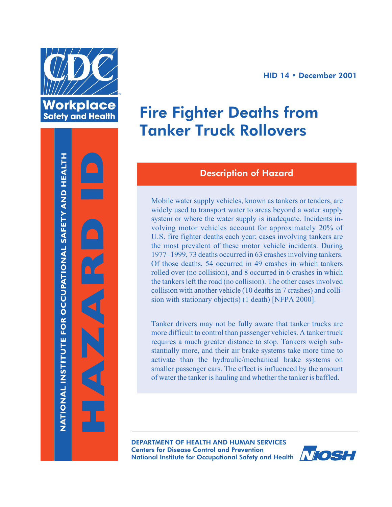





# Fire Fighter Deaths from Tanker Truck Rollovers

## Description of Hazard

Mobile water supply vehicles, known as tankers or tenders, are widely used to transport water to areas beyond a water supply system or where the water supply is inadequate. Incidents involving motor vehicles account for approximately 20% of U.S. fire fighter deaths each year; cases involving tankers are the most prevalent of these motor vehicle incidents. During 1977–1999, 73 deaths occurred in 63 crashesinvolving tankers. Of those deaths, 54 occurred in 49 crashes in which tankers rolled over (no collision), and 8 occurred in 6 crashes in which the tankers left the road (no collision). The other cases involved collision with another vehicle (10 deathsin 7 crashes) and collision with stationary object(s) (1 death) [NFPA 2000].

Tanker drivers may not be fully aware that tanker trucks are more difficult to control than passenger vehicles. A tanker truck requires a much greater distance to stop. Tankers weigh substantially more, and their air brake systems take more time to activate than the hydraulic/mechanical brake systems on smaller passenger cars. The effect is influenced by the amount of water the tanker is hauling and whether the tanker is baffled.

DEPARTMENT OF HEALTH AND HUMAN SERVICES Centers for Disease Control and Prevention National Institute for Occupational Safety and Health **NOSH** 

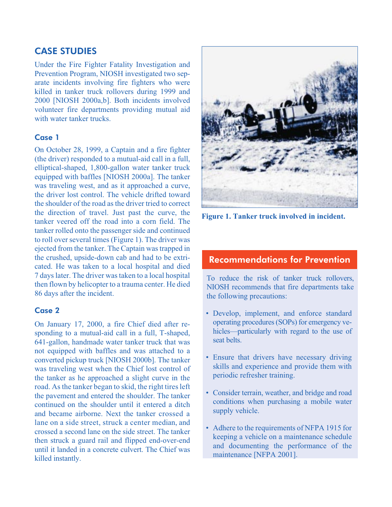## CASE STUDIES

Under the Fire Fighter Fatality Investigation and Prevention Program, NIOSH investigated two separate incidents involving fire fighters who were killed in tanker truck rollovers during 1999 and 2000 [NIOSH 2000a,b]. Both incidents involved volunteer fire departments providing mutual aid with water tanker trucks.

### Case 1

On October 28, 1999, a Captain and a fire fighter (the driver) responded to a mutual-aid call in a full, elliptical-shaped, 1,800-gallon water tanker truck equipped with baffles [NIOSH 2000a]. The tanker was traveling west, and as it approached a curve, the driver lost control. The vehicle drifted toward the shoulder of the road as the driver tried to correct the direction of travel. Just past the curve, the tanker veered off the road into a corn field. The tanker rolled onto the passenger side and continued to roll over several times (Figure 1). The driver was ejected from the tanker. The Captain wastrapped in the crushed, upside-down cab and had to be extricated. He was taken to a local hospital and died 7 dayslater. The driver wastaken to a local hospital then flown by helicopter to a trauma center. He died 86 days after the incident.

#### Case 2

On January 17, 2000, a fire Chief died after responding to a mutual-aid call in a full, T-shaped, 641-gallon, handmade water tanker truck that was not equipped with baffles and was attached to a converted pickup truck [NIOSH 2000b]. The tanker was traveling west when the Chief lost control of the tanker as he approached a slight curve in the road. As the tanker began to skid, the right tires left the pavement and entered the shoulder. The tanker continued on the shoulder until it entered a ditch and became airborne. Next the tanker crossed a lane on a side street, struck a center median, and crossed a second lane on the side street. The tanker then struck a guard rail and flipped end-over-end until it landed in a concrete culvert. The Chief was killed instantly.



**Figure 1. Tanker truck involved in incident.**

## Recommendations for Prevention

To reduce the risk of tanker truck rollovers, NIOSH recommends that fire departments take the following precautions:

- • Develop, implement, and enforce standard operating procedures(SOPs) for emergency vehicles—particularly with regard to the use of seat belts.
- Ensure that drivers have necessary driving skills and experience and provide them with periodic refresher training.
- Consider terrain, weather, and bridge and road conditions when purchasing a mobile water supply vehicle.
- Adhere to the requirements of NFPA 1915 for keeping a vehicle on a maintenance schedule and documenting the performance of the maintenance [NFPA 2001].